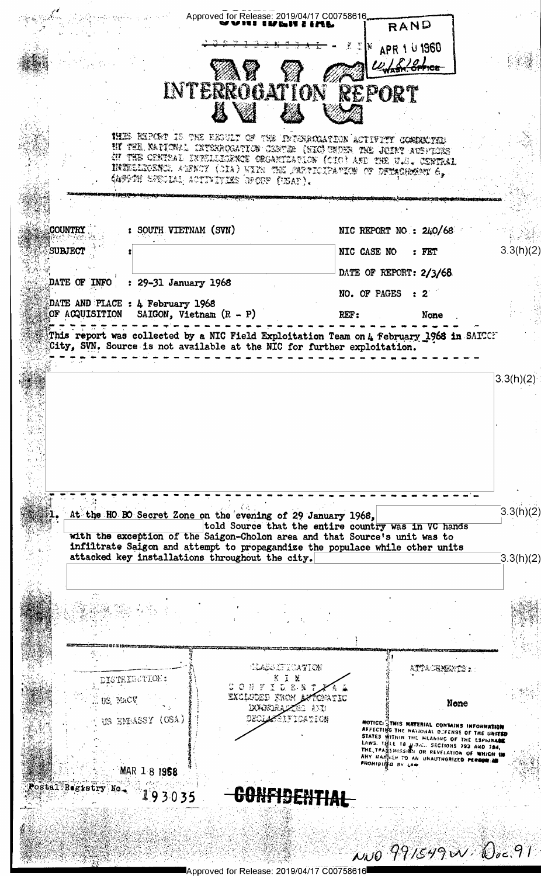Approved for Release: 2019/04/17 C00758616 RAND **MIT LEME.** APR 1 U 1960  $w_{\text{w}}$   $\frac{g}{g}$  or  $e$ **INTERROGATION REPORT** THE REPORT IS THE REDULT OF THE INTERMOLATION ACTIVITY COMMOTER BIT THE NATIONAL INTERPORATION CENTER (NIC) UNDER THE JOINT AUSTRIES OU THE CENTRAL INTELLATION ORGANIZATION (CIO) AND THE U.S. CENTRAL INDELICENCE SCENCY (CIA) WITH THE SATTLIFATION OF DETACHMENT 6. COUNTRY : SOUTH VIETNAM (SVN) NIC REPORT NO:  $240/68$  $3.3(h)(2)$ SUBJECT NIC CASE NO : FET DATE OF REPORT: 2/3/68 DATE OF INFO : 29-31 January 1968 NO. OF PAGES  $\therefore$  2 DATE AND PLACE : 4 February 1968 OF ACQUISITION SAIGON, Vietnam  $(R - P)$ REF: None This report was collected by a NIC Field Exploitation Team on 4 February 1968 in SAICCE City, SVN. Source is not available at the NIC for further exploitation.  $3.3(h)(2)$  $3.3(h)(2)$ At the HO BO Secret Zone on the evening of 29 January 1968, told Source that the entire country was in VC hands<br>with the exception of the Saigon-Cholon area and that Source's unit was to infiltrate Saigon and attempt to propagandize the populace while other units attacked key installations throughout the city.  $3.3(h)(2)$ CLASS IT TO AT TON ATTAGHNEGHTS: DISTRIBUTION: EXCLUDED FROM A otratic US MACV None **DOWNERS ZA**CO AND **DECLARATION** US EMEASSY (OSA) **NOTICE:** THIS MATERIAL CONTAINS INFORMATION<br>AFFECTING THE MANUSAL DEFENSE OF THE UNITED<br>STATES WITHIN THE MEANING OF THE ESPIDNANT<br>LAWS. THE TO MONET TO AN UNAUTHORIZED PERSON : ANY MANUSCHT OR REVELATION OF WHICH IN<br>ANY MAR 181958 Postal Registry No. **CONFIDENTIAL** 193035  $\lambda$ NO 991549W (Doc.91)

Approved for Release: 2019/04/17 C00758616